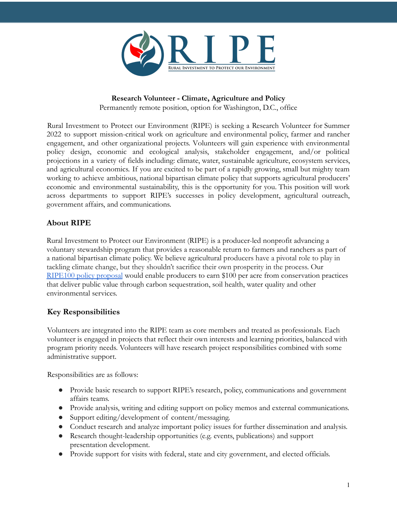

## **Research Volunteer - Climate, Agriculture and Policy**

Permanently remote position, option for Washington, D.C., office

Rural Investment to Protect our Environment (RIPE) is seeking a Research Volunteer for Summer 2022 to support mission-critical work on agriculture and environmental policy, farmer and rancher engagement, and other organizational projects. Volunteers will gain experience with environmental policy design, economic and ecological analysis, stakeholder engagement, and/or political projections in a variety of fields including: climate, water, sustainable agriculture, ecosystem services, and agricultural economics. If you are excited to be part of a rapidly growing, small but mighty team working to achieve ambitious, national bipartisan climate policy that supports agricultural producers' economic and environmental sustainability, this is the opportunity for you. This position will work across departments to support RIPE's successes in policy development, agricultural outreach, government affairs, and communications.

## **About RIPE**

Rural Investment to Protect our Environment (RIPE) is a producer-led nonprofit advancing a voluntary stewardship program that provides a reasonable return to farmers and ranchers as part of a national bipartisan climate policy. We believe agricultural producers have a pivotal role to play in tackling climate change, but they shouldn't sacrifice their own prosperity in the process. Our [RIPE100 policy proposal](https://www.riperoadmap.org/ripe100/) would enable producers to earn \$100 per acre from conservation practices that deliver public value through carbon sequestration, soil health, water quality and other environmental services.

# **Key Responsibilities**

Volunteers are integrated into the RIPE team as core members and treated as professionals. Each volunteer is engaged in projects that reflect their own interests and learning priorities, balanced with program priority needs. Volunteers will have research project responsibilities combined with some administrative support.

Responsibilities are as follows:

- Provide basic research to support RIPE's research, policy, communications and government affairs teams.
- Provide analysis, writing and editing support on policy memos and external communications.
- Support editing/development of content/messaging.
- Conduct research and analyze important policy issues for further dissemination and analysis.
- Research thought-leadership opportunities (e.g. events, publications) and support presentation development.
- Provide support for visits with federal, state and city government, and elected officials.